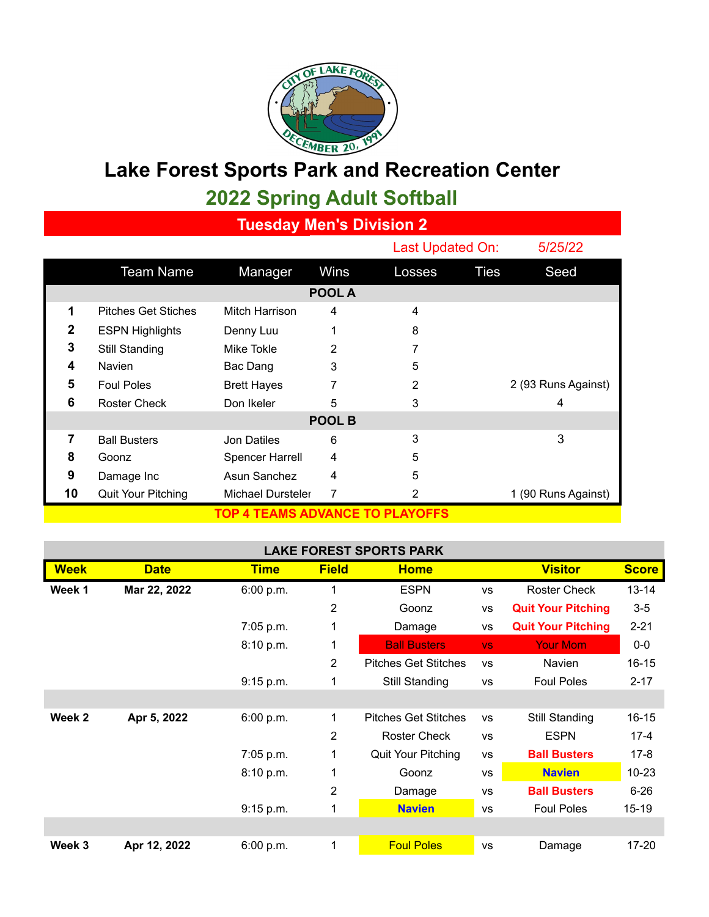

## **Lake Forest Sports Park and Recreation Center**

## **2022 Spring Adult Softball**

**Tuesday Men's Division 2**

|                                 |                            |                    |      |        | Last Updated On: |                     |  |  |  |  |
|---------------------------------|----------------------------|--------------------|------|--------|------------------|---------------------|--|--|--|--|
|                                 | <b>Team Name</b>           | Manager            | Wins | Losses | <b>Ties</b>      | Seed                |  |  |  |  |
| POOL A                          |                            |                    |      |        |                  |                     |  |  |  |  |
| $\blacktriangleleft$            | <b>Pitches Get Stiches</b> | Mitch Harrison     | 4    | 4      |                  |                     |  |  |  |  |
| 2                               | <b>ESPN Highlights</b>     | Denny Luu          | 1    | 8      |                  |                     |  |  |  |  |
| 3                               | Still Standing             | Mike Tokle         | 2    | 7      |                  |                     |  |  |  |  |
| 4                               | <b>Navien</b>              | Bac Dang           | 3    | 5      |                  |                     |  |  |  |  |
| 5                               | <b>Foul Poles</b>          | <b>Brett Hayes</b> | 7    | 2      |                  | 2 (93 Runs Against) |  |  |  |  |
| 6                               | <b>Roster Check</b>        | Don Ikeler         | 5    | 3      |                  | 4                   |  |  |  |  |
| POOL B                          |                            |                    |      |        |                  |                     |  |  |  |  |
| 7                               | <b>Ball Busters</b>        | Jon Datiles        | 6    | 3      |                  | 3                   |  |  |  |  |
| 8                               | Goonz                      | Spencer Harrell    | 4    | 5      |                  |                     |  |  |  |  |
| 9                               | Damage Inc                 | Asun Sanchez       | 4    | 5      |                  |                     |  |  |  |  |
| 10                              | Quit Your Pitching         | Michael Dursteler  | 7    | 2      |                  | 1 (90 Runs Against) |  |  |  |  |
| TOP 4 TEAMS ADVANCE TO PLAYOFFS |                            |                    |      |        |                  |                     |  |  |  |  |

## **LAKE FOREST SPORTS PARK**

| <b>Week</b> | <b>Date</b>  | <b>Time</b> | <b>Field</b> | <b>Home</b>                 |           | <b>Visitor</b>            | <b>Score</b> |
|-------------|--------------|-------------|--------------|-----------------------------|-----------|---------------------------|--------------|
| Week 1      | Mar 22, 2022 | 6:00 p.m.   | 1            | <b>ESPN</b>                 | <b>VS</b> | <b>Roster Check</b>       | $13 - 14$    |
|             |              |             | 2            | Goonz                       | <b>VS</b> | <b>Quit Your Pitching</b> | $3-5$        |
|             |              | $7:05$ p.m. | 1            | Damage                      | VS        | <b>Quit Your Pitching</b> | $2 - 21$     |
|             |              | 8:10 p.m.   | 1            | <b>Ball Busters</b>         | VS.       | <b>Your Mom</b>           | $0-0$        |
|             |              |             | 2            | <b>Pitches Get Stitches</b> | <b>VS</b> | <b>Navien</b>             | $16 - 15$    |
|             |              | 9:15 p.m.   | 1            | Still Standing              | <b>VS</b> | <b>Foul Poles</b>         | $2 - 17$     |
|             |              |             |              |                             |           |                           |              |
| Week 2      | Apr 5, 2022  | 6:00 p.m.   | 1            | <b>Pitches Get Stitches</b> | <b>VS</b> | Still Standing            | $16 - 15$    |
|             |              |             | 2            | <b>Roster Check</b>         | <b>VS</b> | <b>ESPN</b>               | $17 - 4$     |
|             |              | $7:05$ p.m. | 1            | Quit Your Pitching          | <b>VS</b> | <b>Ball Busters</b>       | $17-8$       |
|             |              | 8:10 p.m.   | 1            | Goonz                       | <b>VS</b> | <b>Navien</b>             | $10 - 23$    |
|             |              |             | 2            | Damage                      | <b>VS</b> | <b>Ball Busters</b>       | $6 - 26$     |
|             |              | 9:15 p.m.   | 1            | <b>Navien</b>               | <b>VS</b> | <b>Foul Poles</b>         | $15 - 19$    |
|             |              |             |              |                             |           |                           |              |
| Week 3      | Apr 12, 2022 | 6:00 p.m.   | 1            | <b>Foul Poles</b>           | <b>VS</b> | Damage                    | 17-20        |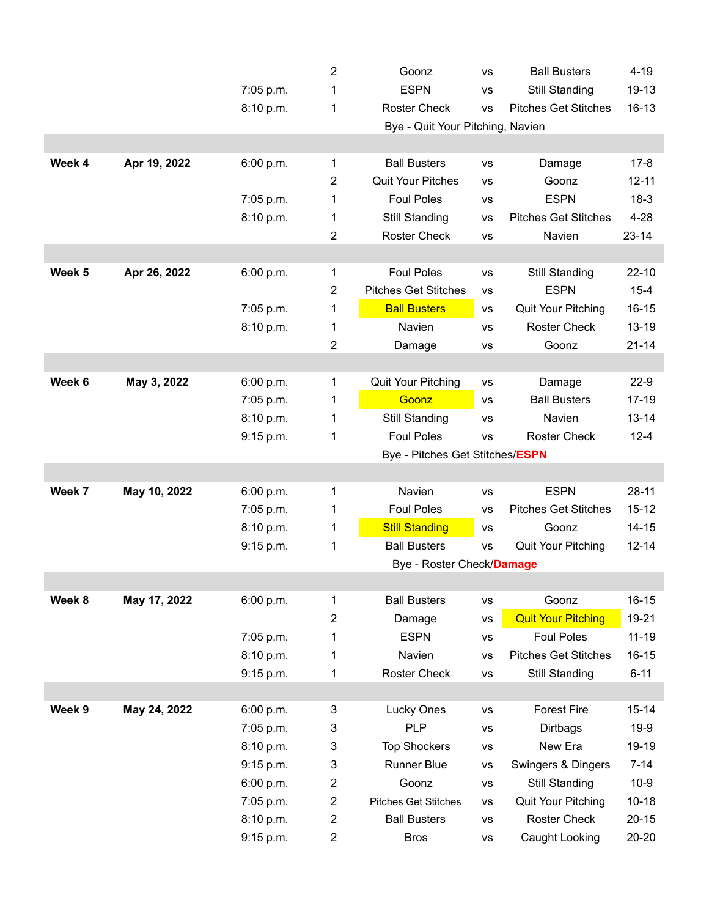|        |              |           | 2              | Goonz                            | <b>VS</b>                   | <b>Ball Busters</b>         | $4 - 19$  |  |  |  |  |
|--------|--------------|-----------|----------------|----------------------------------|-----------------------------|-----------------------------|-----------|--|--|--|--|
|        |              | 7:05 p.m. | 1              | <b>ESPN</b><br>VS                |                             | Still Standing              | 19-13     |  |  |  |  |
|        |              | 8:10 p.m. | 1              | <b>Roster Check</b><br><b>VS</b> |                             | <b>Pitches Get Stitches</b> | $16 - 13$ |  |  |  |  |
|        |              |           |                | Bye - Quit Your Pitching, Navien |                             |                             |           |  |  |  |  |
|        |              |           |                |                                  |                             |                             |           |  |  |  |  |
| Week 4 | Apr 19, 2022 | 6:00 p.m. | 1              | <b>Ball Busters</b>              | <b>VS</b>                   | Damage                      | $17 - 8$  |  |  |  |  |
|        |              |           | 2              | <b>Quit Your Pitches</b>         | <b>VS</b>                   | Goonz                       | $12 - 11$ |  |  |  |  |
|        |              | 7:05 p.m. | 1              | <b>Foul Poles</b>                | VS                          | <b>ESPN</b>                 | $18-3$    |  |  |  |  |
|        |              | 8:10 p.m. | 1              | Still Standing                   | <b>VS</b>                   | <b>Pitches Get Stitches</b> | $4 - 28$  |  |  |  |  |
|        |              |           | 2              | <b>Roster Check</b>              | VS                          | Navien                      | $23 - 14$ |  |  |  |  |
|        |              |           |                |                                  |                             |                             |           |  |  |  |  |
| Week 5 | Apr 26, 2022 | 6:00 p.m. | 1              | <b>Foul Poles</b>                | Still Standing<br><b>VS</b> |                             | $22 - 10$ |  |  |  |  |
|        |              |           | $\overline{2}$ | <b>Pitches Get Stitches</b>      | <b>VS</b>                   | <b>ESPN</b>                 | $15 - 4$  |  |  |  |  |
|        |              | 7:05 p.m. | 1              | <b>Ball Busters</b>              | VS                          | <b>Quit Your Pitching</b>   | $16 - 15$ |  |  |  |  |
|        |              | 8:10 p.m. | 1              | Navien                           | <b>VS</b>                   | <b>Roster Check</b>         | $13 - 19$ |  |  |  |  |
|        |              |           | 2              | Damage                           | VS                          | Goonz                       | $21 - 14$ |  |  |  |  |
|        |              |           |                |                                  |                             |                             |           |  |  |  |  |
| Week 6 | May 3, 2022  | 6:00 p.m. | 1              | Quit Your Pitching               | <b>VS</b>                   | Damage                      | $22-9$    |  |  |  |  |
|        |              | 7:05 p.m. | 1              | Goonz                            | VS                          | <b>Ball Busters</b>         | $17 - 19$ |  |  |  |  |
|        |              | 8:10 p.m. | 1              | Still Standing                   | VS                          | Navien                      | $13 - 14$ |  |  |  |  |
|        |              | 9:15 p.m. | 1              | <b>Foul Poles</b>                | <b>VS</b>                   | <b>Roster Check</b>         | $12 - 4$  |  |  |  |  |
|        |              |           |                | Bye - Pitches Get Stitches/ESPN  |                             |                             |           |  |  |  |  |
|        |              |           |                |                                  |                             |                             |           |  |  |  |  |
| Week 7 | May 10, 2022 | 6:00 p.m. | 1              | Navien                           | <b>VS</b>                   | <b>ESPN</b>                 | $28 - 11$ |  |  |  |  |
|        |              | 7:05 p.m. | 1              | <b>Foul Poles</b>                | VS                          | <b>Pitches Get Stitches</b> | $15 - 12$ |  |  |  |  |
|        |              | 8:10 p.m. | 1              | <b>Still Standing</b>            | VS                          | Goonz                       | $14 - 15$ |  |  |  |  |
|        |              | 9:15 p.m. | 1              | <b>Ball Busters</b>              | <b>VS</b>                   | Quit Your Pitching          | $12 - 14$ |  |  |  |  |
|        |              |           |                | Bye - Roster Check/Damage        |                             |                             |           |  |  |  |  |
|        |              |           |                |                                  |                             |                             |           |  |  |  |  |
| Week 8 | May 17, 2022 | 6:00 p.m. | 1              | <b>Ball Busters</b>              | <b>VS</b>                   | Goonz                       | $16 - 15$ |  |  |  |  |
|        |              |           | 2              | Damage                           | <b>VS</b>                   | <b>Quit Your Pitching</b>   | 19-21     |  |  |  |  |
|        |              | 7:05 p.m. | 1              | <b>ESPN</b>                      | VS                          | <b>Foul Poles</b>           | $11 - 19$ |  |  |  |  |
|        |              | 8:10 p.m. | 1              | Navien                           | <b>VS</b>                   | <b>Pitches Get Stitches</b> | $16 - 15$ |  |  |  |  |
|        |              | 9:15 p.m. | 1              | Roster Check                     | VS                          | Still Standing              | $6 - 11$  |  |  |  |  |
|        |              |           |                |                                  |                             |                             |           |  |  |  |  |
| Week 9 | May 24, 2022 | 6:00 p.m. | 3              | Lucky Ones                       | <b>VS</b>                   | <b>Forest Fire</b>          | $15 - 14$ |  |  |  |  |
|        |              | 7:05 p.m. | 3              | <b>PLP</b>                       | <b>VS</b>                   | Dirtbags                    | $19-9$    |  |  |  |  |
|        |              | 8:10 p.m. | 3              | <b>Top Shockers</b>              | <b>VS</b>                   | New Era                     | 19-19     |  |  |  |  |
|        |              | 9:15 p.m. | 3              | <b>Runner Blue</b>               | <b>VS</b>                   | Swingers & Dingers          | $7 - 14$  |  |  |  |  |
|        |              | 6:00 p.m. | 2              | Goonz                            | <b>VS</b>                   | Still Standing              | $10 - 9$  |  |  |  |  |
|        |              | 7:05 p.m. | 2              | <b>Pitches Get Stitches</b>      | <b>VS</b>                   | <b>Quit Your Pitching</b>   | $10 - 18$ |  |  |  |  |
|        |              | 8:10 p.m. | $\overline{c}$ | <b>Ball Busters</b>              | <b>VS</b>                   | <b>Roster Check</b>         | $20 - 15$ |  |  |  |  |
|        |              | 9:15 p.m. | 2              | <b>Bros</b>                      | <b>VS</b>                   | Caught Looking              | $20 - 20$ |  |  |  |  |